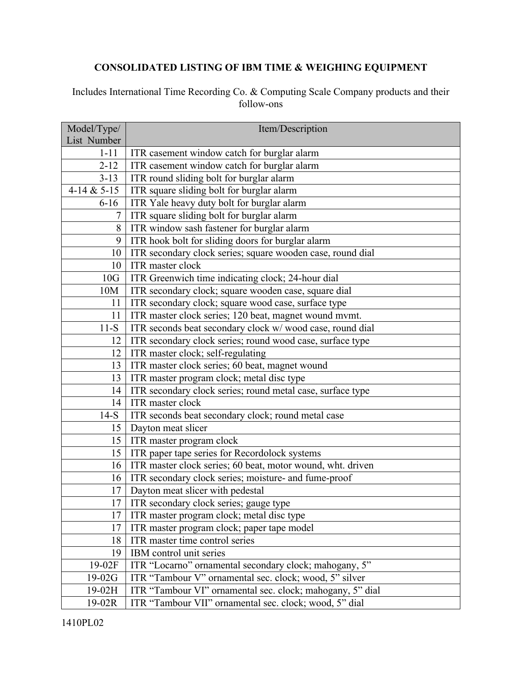## **CONSOLIDATED LISTING OF IBM TIME & WEIGHING EQUIPMENT**

## Includes International Time Recording Co. & Computing Scale Company products and their follow-ons

| Model/Type/   | Item/Description                                           |
|---------------|------------------------------------------------------------|
| List Number   |                                                            |
| $1 - 11$      | ITR casement window catch for burglar alarm                |
| $2 - 12$      | ITR casement window catch for burglar alarm                |
| $3 - 13$      | ITR round sliding bolt for burglar alarm                   |
| 4-14 & $5-15$ | ITR square sliding bolt for burglar alarm                  |
| $6 - 16$      | ITR Yale heavy duty bolt for burglar alarm                 |
| 7             | ITR square sliding bolt for burglar alarm                  |
| 8             | ITR window sash fastener for burglar alarm                 |
| 9             | ITR hook bolt for sliding doors for burglar alarm          |
| 10            | ITR secondary clock series; square wooden case, round dial |
| 10            | ITR master clock                                           |
| 10G           | ITR Greenwich time indicating clock; 24-hour dial          |
| 10M           | ITR secondary clock; square wooden case, square dial       |
| 11            | ITR secondary clock; square wood case, surface type        |
| 11            | ITR master clock series; 120 beat, magnet wound mvmt.      |
| $11-S$        | ITR seconds beat secondary clock w/wood case, round dial   |
| 12            | ITR secondary clock series; round wood case, surface type  |
| 12            | ITR master clock; self-regulating                          |
| 13            | ITR master clock series; 60 beat, magnet wound             |
| 13            | ITR master program clock; metal disc type                  |
| 14            | ITR secondary clock series; round metal case, surface type |
| 14            | ITR master clock                                           |
| $14-S$        | ITR seconds beat secondary clock; round metal case         |
| 15            | Dayton meat slicer                                         |
| 15            | ITR master program clock                                   |
| 15            | ITR paper tape series for Recordolock systems              |
| 16            | ITR master clock series; 60 beat, motor wound, wht. driven |
| 16            | ITR secondary clock series; moisture- and fume-proof       |
| 17            | Dayton meat slicer with pedestal                           |
| 17            | ITR secondary clock series; gauge type                     |
| 17            | ITR master program clock; metal disc type                  |
| 17            | ITR master program clock; paper tape model                 |
| 18            | ITR master time control series                             |
| 19            | IBM control unit series                                    |
| 19-02F        | ITR "Locarno" ornamental secondary clock; mahogany, 5"     |
| $19-02G$      | ITR "Tambour V" ornamental sec. clock; wood, 5" silver     |
| 19-02H        | ITR "Tambour VI" ornamental sec. clock; mahogany, 5" dial  |
| $19-02R$      | ITR "Tambour VII" ornamental sec. clock; wood, 5" dial     |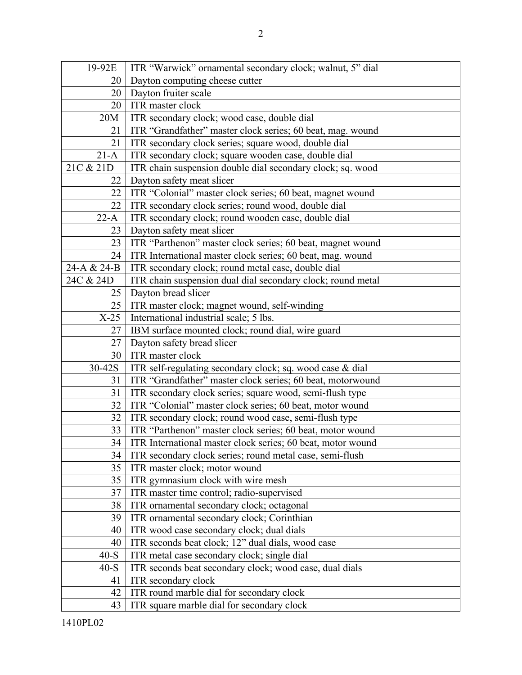| 19-92E      | ITR "Warwick" ornamental secondary clock; walnut, 5" dial   |
|-------------|-------------------------------------------------------------|
| 20          | Dayton computing cheese cutter                              |
| 20          | Dayton fruiter scale                                        |
| 20          | ITR master clock                                            |
| 20M         | ITR secondary clock; wood case, double dial                 |
| 21          | ITR "Grandfather" master clock series; 60 beat, mag. wound  |
| 21          | ITR secondary clock series; square wood, double dial        |
| $21-A$      | ITR secondary clock; square wooden case, double dial        |
| 21C & 21D   | ITR chain suspension double dial secondary clock; sq. wood  |
| 22          | Dayton safety meat slicer                                   |
| 22          | ITR "Colonial" master clock series; 60 beat, magnet wound   |
| 22          | ITR secondary clock series; round wood, double dial         |
| $22-A$      | ITR secondary clock; round wooden case, double dial         |
| 23          | Dayton safety meat slicer                                   |
| 23          | ITR "Parthenon" master clock series; 60 beat, magnet wound  |
| 24          | ITR International master clock series; 60 beat, mag. wound  |
| 24-A & 24-B | ITR secondary clock; round metal case, double dial          |
| 24C & 24D   | ITR chain suspension dual dial secondary clock; round metal |
| 25          | Dayton bread slicer                                         |
| 25          | ITR master clock; magnet wound, self-winding                |
| $X-25$      | International industrial scale; 5 lbs.                      |
| 27          | IBM surface mounted clock; round dial, wire guard           |
| 27          | Dayton safety bread slicer                                  |
| 30          | ITR master clock                                            |
| 30-42S      | ITR self-regulating secondary clock; sq. wood case & dial   |
| 31          | ITR "Grandfather" master clock series; 60 beat, motorwound  |
| 31          | ITR secondary clock series; square wood, semi-flush type    |
| 32          | ITR "Colonial" master clock series; 60 beat, motor wound    |
| 32          | ITR secondary clock; round wood case, semi-flush type       |
| 33          | ITR "Parthenon" master clock series; 60 beat, motor wound   |
| 34          | ITR International master clock series; 60 beat, motor wound |
| 34          | ITR secondary clock series; round metal case, semi-flush    |
| 35          | ITR master clock; motor wound                               |
| 35          | ITR gymnasium clock with wire mesh                          |
| 37          | ITR master time control; radio-supervised                   |
| 38          | ITR ornamental secondary clock; octagonal                   |
| 39          | ITR ornamental secondary clock; Corinthian                  |
| 40          | ITR wood case secondary clock; dual dials                   |
| 40          | ITR seconds beat clock; 12" dual dials, wood case           |
| $40-S$      | ITR metal case secondary clock; single dial                 |
| $40-S$      | ITR seconds beat secondary clock; wood case, dual dials     |
| 41          | ITR secondary clock                                         |
| 42          | ITR round marble dial for secondary clock                   |
| 43          | ITR square marble dial for secondary clock                  |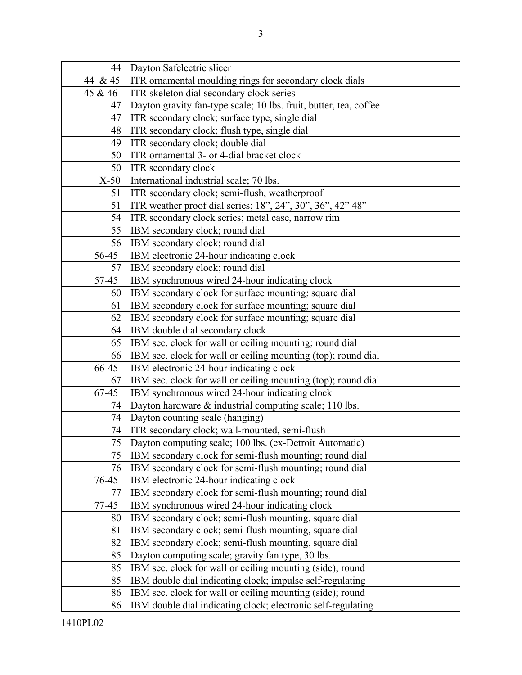| 44      | Dayton Safelectric slicer                                         |
|---------|-------------------------------------------------------------------|
| 44 & 45 | ITR ornamental moulding rings for secondary clock dials           |
| 45 & 46 | ITR skeleton dial secondary clock series                          |
| 47      | Dayton gravity fan-type scale; 10 lbs. fruit, butter, tea, coffee |
| 47      | ITR secondary clock; surface type, single dial                    |
| 48      | ITR secondary clock; flush type, single dial                      |
| 49      | ITR secondary clock; double dial                                  |
| 50      | ITR ornamental 3- or 4-dial bracket clock                         |
| 50      | ITR secondary clock                                               |
| $X-50$  | International industrial scale; 70 lbs.                           |
| 51      | ITR secondary clock; semi-flush, weatherproof                     |
| 51      | ITR weather proof dial series; 18", 24", 30", 36", 42" 48"        |
| 54      | ITR secondary clock series; metal case, narrow rim                |
| 55      | IBM secondary clock; round dial                                   |
| 56      | IBM secondary clock; round dial                                   |
| 56-45   | IBM electronic 24-hour indicating clock                           |
| 57      | IBM secondary clock; round dial                                   |
| 57-45   | IBM synchronous wired 24-hour indicating clock                    |
| 60      | IBM secondary clock for surface mounting; square dial             |
| 61      | IBM secondary clock for surface mounting; square dial             |
| 62      | IBM secondary clock for surface mounting; square dial             |
| 64      | IBM double dial secondary clock                                   |
| 65      | IBM sec. clock for wall or ceiling mounting; round dial           |
| 66      | IBM sec. clock for wall or ceiling mounting (top); round dial     |
| 66-45   | IBM electronic 24-hour indicating clock                           |
| 67      | IBM sec. clock for wall or ceiling mounting (top); round dial     |
| 67-45   | IBM synchronous wired 24-hour indicating clock                    |
| 74      | Dayton hardware & industrial computing scale; 110 lbs.            |
| 74      | Dayton counting scale (hanging)                                   |
| 74      | ITR secondary clock; wall-mounted, semi-flush                     |
| 75      | Dayton computing scale; 100 lbs. (ex-Detroit Automatic)           |
| 75      | IBM secondary clock for semi-flush mounting; round dial           |
| 76      | IBM secondary clock for semi-flush mounting; round dial           |
| 76-45   | IBM electronic 24-hour indicating clock                           |
| 77      | IBM secondary clock for semi-flush mounting; round dial           |
| 77-45   | IBM synchronous wired 24-hour indicating clock                    |
| 80      | IBM secondary clock; semi-flush mounting, square dial             |
| 81      | IBM secondary clock; semi-flush mounting, square dial             |
| 82      | IBM secondary clock; semi-flush mounting, square dial             |
| 85      | Dayton computing scale; gravity fan type, 30 lbs.                 |
| 85      | IBM sec. clock for wall or ceiling mounting (side); round         |
| 85      | IBM double dial indicating clock; impulse self-regulating         |
| 86      | IBM sec. clock for wall or ceiling mounting (side); round         |
| 86      | IBM double dial indicating clock; electronic self-regulating      |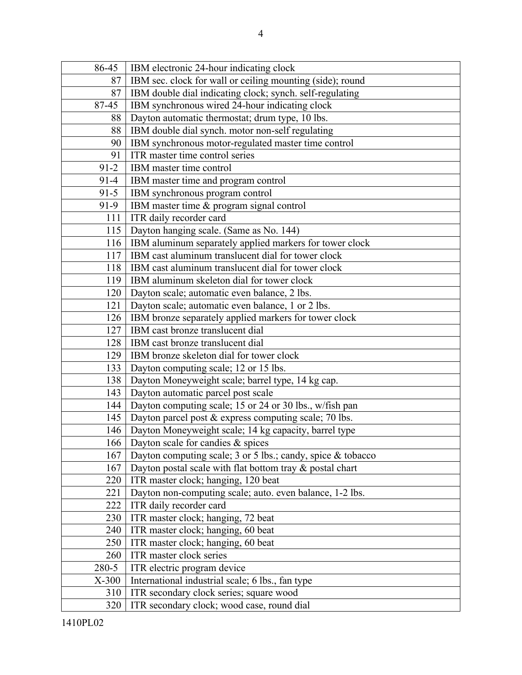| 86-45    | IBM electronic 24-hour indicating clock                       |
|----------|---------------------------------------------------------------|
| 87       | IBM sec. clock for wall or ceiling mounting (side); round     |
| 87       | IBM double dial indicating clock; synch. self-regulating      |
| 87-45    | IBM synchronous wired 24-hour indicating clock                |
| 88       | Dayton automatic thermostat; drum type, 10 lbs.               |
| 88       | IBM double dial synch. motor non-self regulating              |
| 90       | IBM synchronous motor-regulated master time control           |
| 91       | ITR master time control series                                |
| $91-2$   | IBM master time control                                       |
| $91 - 4$ | IBM master time and program control                           |
| $91 - 5$ | IBM synchronous program control                               |
| $91-9$   | IBM master time & program signal control                      |
| 111      | ITR daily recorder card                                       |
| 115      | Dayton hanging scale. (Same as No. 144)                       |
| 116      | IBM aluminum separately applied markers for tower clock       |
| 117      | IBM cast aluminum translucent dial for tower clock            |
| 118      | IBM cast aluminum translucent dial for tower clock            |
| 119      | IBM aluminum skeleton dial for tower clock                    |
| 120      | Dayton scale; automatic even balance, 2 lbs.                  |
| 121      | Dayton scale; automatic even balance, 1 or 2 lbs.             |
| 126      | IBM bronze separately applied markers for tower clock         |
| 127      | IBM cast bronze translucent dial                              |
| 128      | IBM cast bronze translucent dial                              |
| 129      | IBM bronze skeleton dial for tower clock                      |
| 133      | Dayton computing scale; 12 or 15 lbs.                         |
| 138      | Dayton Moneyweight scale; barrel type, 14 kg cap.             |
| 143      | Dayton automatic parcel post scale                            |
| 144      | Dayton computing scale; 15 or 24 or 30 lbs., w/fish pan       |
| 145      | Dayton parcel post & express computing scale; 70 lbs.         |
| 146      | Dayton Moneyweight scale; 14 kg capacity, barrel type         |
| 166      | Dayton scale for candies & spices                             |
| 167      | Dayton computing scale; 3 or 5 lbs.; candy, spice $&$ tobacco |
| 167      | Dayton postal scale with flat bottom tray $\&$ postal chart   |
| 220      | ITR master clock; hanging, 120 beat                           |
| 221      | Dayton non-computing scale; auto. even balance, 1-2 lbs.      |
| 222      | ITR daily recorder card                                       |
| 230      | ITR master clock; hanging, 72 beat                            |
| 240      | ITR master clock; hanging, 60 beat                            |
| 250      | ITR master clock; hanging, 60 beat                            |
| 260      | ITR master clock series                                       |
| 280-5    | ITR electric program device                                   |
| $X-300$  | International industrial scale; 6 lbs., fan type              |
| 310      | ITR secondary clock series; square wood                       |
| 320      | ITR secondary clock; wood case, round dial                    |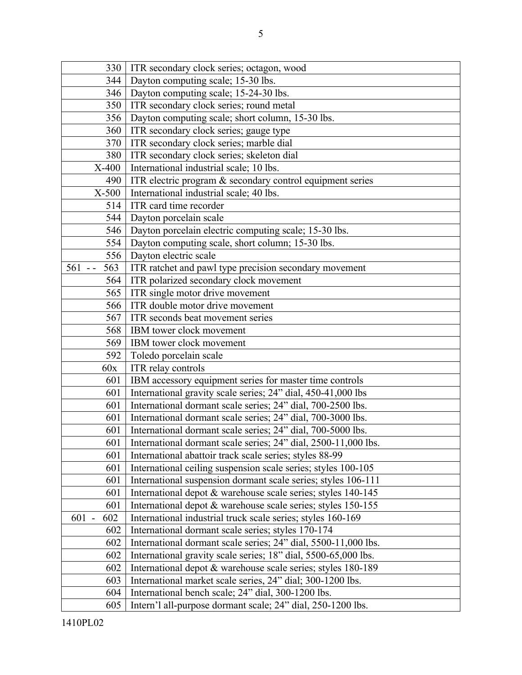| 330              | ITR secondary clock series; octagon, wood                            |
|------------------|----------------------------------------------------------------------|
| 344              | Dayton computing scale; 15-30 lbs.                                   |
| 346              | Dayton computing scale; 15-24-30 lbs.                                |
| 350              | ITR secondary clock series; round metal                              |
| 356              | Dayton computing scale; short column, 15-30 lbs.                     |
| 360              | ITR secondary clock series; gauge type                               |
| 370              | ITR secondary clock series; marble dial                              |
| 380              | ITR secondary clock series; skeleton dial                            |
| X-400            | International industrial scale; 10 lbs.                              |
| 490              | ITR electric program & secondary control equipment series            |
| $X-500$          | International industrial scale; 40 lbs.                              |
| 514              | ITR card time recorder                                               |
| 544              | Dayton porcelain scale                                               |
| 546              | Dayton porcelain electric computing scale; 15-30 lbs.                |
| 554              | Dayton computing scale, short column; 15-30 lbs.                     |
| 556              | Dayton electric scale                                                |
| 563<br>$561 - -$ | ITR ratchet and pawl type precision secondary movement               |
| 564              | ITR polarized secondary clock movement                               |
| 565              | ITR single motor drive movement                                      |
| 566              | ITR double motor drive movement                                      |
| 567              | ITR seconds beat movement series                                     |
| 568              | IBM tower clock movement                                             |
| 569              | IBM tower clock movement                                             |
| 592              | Toledo porcelain scale                                               |
| 60x              | ITR relay controls                                                   |
| 601              | IBM accessory equipment series for master time controls              |
| 601              | International gravity scale series; 24" dial, 450-41,000 lbs         |
| 601              | International dormant scale series; 24" dial, 700-2500 lbs.          |
| 601              | International dormant scale series; 24" dial, 700-3000 lbs.          |
| 601              | International dormant scale series; 24" dial, 700-5000 lbs.          |
|                  | 601   International dormant scale series; 24" dial, 2500-11,000 lbs. |
| 601              | International abattoir track scale series; styles 88-99              |
| 601              | International ceiling suspension scale series; styles 100-105        |
| 601              | International suspension dormant scale series; styles 106-111        |
| 601              | International depot & warehouse scale series; styles 140-145         |
| 601              | International depot & warehouse scale series; styles 150-155         |
| 602<br>$601 -$   | International industrial truck scale series; styles 160-169          |
| 602              | International dormant scale series; styles 170-174                   |
| 602              | International dormant scale series; 24" dial, 5500-11,000 lbs.       |
| 602              | International gravity scale series; 18" dial, 5500-65,000 lbs.       |
| 602              | International depot & warehouse scale series; styles 180-189         |
| 603              | International market scale series, 24" dial; 300-1200 lbs.           |
| 604              | International bench scale; 24" dial, 300-1200 lbs.                   |
| 605              | Intern'l all-purpose dormant scale; 24" dial, 250-1200 lbs.          |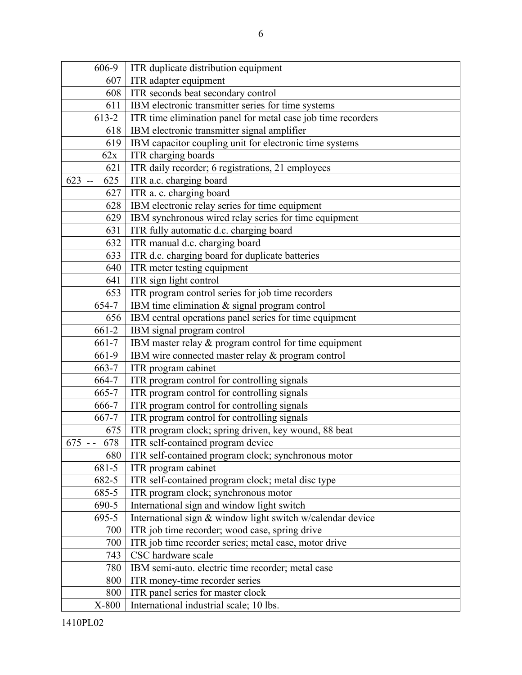| 606-9                                  | ITR duplicate distribution equipment                         |
|----------------------------------------|--------------------------------------------------------------|
| 607                                    | ITR adapter equipment                                        |
| 608                                    | ITR seconds beat secondary control                           |
| 611                                    | IBM electronic transmitter series for time systems           |
| 613-2                                  | ITR time elimination panel for metal case job time recorders |
| 618                                    | IBM electronic transmitter signal amplifier                  |
| 619                                    | IBM capacitor coupling unit for electronic time systems      |
| 62x                                    | ITR charging boards                                          |
| 621                                    | ITR daily recorder; 6 registrations, 21 employees            |
| 623<br>625<br>$\overline{\phantom{a}}$ | ITR a.c. charging board                                      |
| 627                                    | ITR a. c. charging board                                     |
| 628                                    | IBM electronic relay series for time equipment               |
| 629                                    | IBM synchronous wired relay series for time equipment        |
| 631                                    | ITR fully automatic d.c. charging board                      |
| 632                                    | ITR manual d.c. charging board                               |
| 633                                    | ITR d.c. charging board for duplicate batteries              |
| 640                                    | ITR meter testing equipment                                  |
| 641                                    | ITR sign light control                                       |
| 653                                    | ITR program control series for job time recorders            |
| 654-7                                  | IBM time elimination & signal program control                |
| 656                                    | IBM central operations panel series for time equipment       |
| 661-2                                  | IBM signal program control                                   |
| 661-7                                  | IBM master relay & program control for time equipment        |
| 661-9                                  | IBM wire connected master relay & program control            |
| 663-7                                  | ITR program cabinet                                          |
| 664-7                                  | ITR program control for controlling signals                  |
| 665-7                                  | ITR program control for controlling signals                  |
| 666-7                                  | ITR program control for controlling signals                  |
| 667-7                                  | ITR program control for controlling signals                  |
| 675                                    | ITR program clock; spring driven, key wound, 88 beat         |
| 678<br>$675 - -$                       | ITR self-contained program device                            |
| 680                                    | ITR self-contained program clock; synchronous motor          |
| 681-5                                  | ITR program cabinet                                          |
| 682-5                                  | ITR self-contained program clock; metal disc type            |
| 685-5                                  | ITR program clock; synchronous motor                         |
| 690-5                                  | International sign and window light switch                   |
| 695-5                                  | International sign & window light switch w/calendar device   |
| 700                                    | ITR job time recorder; wood case, spring drive               |
| 700                                    | ITR job time recorder series; metal case, motor drive        |
| 743                                    | CSC hardware scale                                           |
| 780                                    | IBM semi-auto. electric time recorder; metal case            |
| 800                                    | ITR money-time recorder series                               |
| 800                                    | ITR panel series for master clock                            |
| X-800                                  | International industrial scale; 10 lbs.                      |
|                                        |                                                              |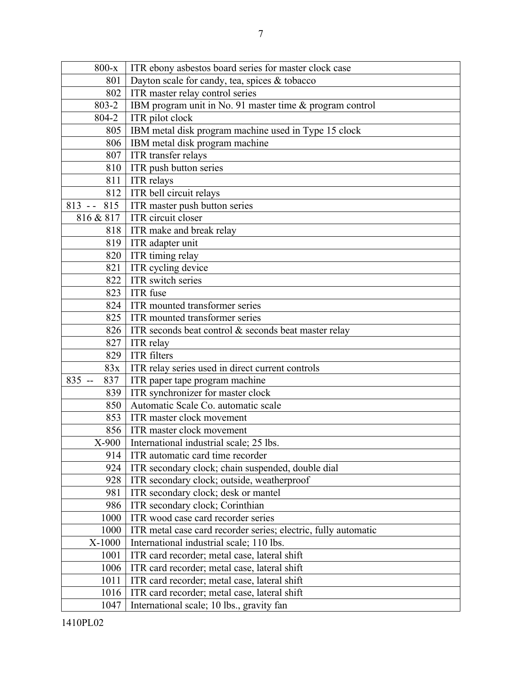| $800-x$ | ITR ebony as best os board series for master clock case  |
|---------|----------------------------------------------------------|
| 801     | Dayton scale for candy, tea, spices & tobacco            |
| 802     | ITR master relay control series                          |
| 803-2   | IBM program unit in No. 91 master time & program control |
| 804-2   | ITR pilot clock                                          |
| 805     | IBM metal disk program machine used in Type 15 clock     |
| 806     | IBM metal disk program machine                           |
| 807     | ITR transfer relays                                      |
| 810     | ITR push button series                                   |
| 811     | <b>ITR</b> relays                                        |
| 812     | ITR bell circuit relays                                  |
| 815     | ITR master push button series                            |
| & 817   | <b>ITR</b> circuit closer                                |
|         |                                                          |

| 807              | ITR transfer relays                                                   |
|------------------|-----------------------------------------------------------------------|
| 810              | ITR push button series                                                |
| 811              | <b>ITR</b> relays                                                     |
| 812              | ITR bell circuit relays                                               |
| 815<br>$813 - -$ | ITR master push button series                                         |
| 816 & 817        | ITR circuit closer                                                    |
| 818              | ITR make and break relay                                              |
| 819              | ITR adapter unit                                                      |
| 820              | ITR timing relay                                                      |
| 821              | ITR cycling device                                                    |
| 822              | ITR switch series                                                     |
| 823              | ITR fuse                                                              |
| 824              | ITR mounted transformer series                                        |
| 825              | ITR mounted transformer series                                        |
| 826              | ITR seconds beat control & seconds beat master relay                  |
| 827              | ITR relay                                                             |
| 829              | <b>ITR</b> filters                                                    |
| 83x              | ITR relay series used in direct current controls                      |
| $835 -$<br>837   | ITR paper tape program machine                                        |
| 839              | ITR synchronizer for master clock                                     |
| 850              | Automatic Scale Co. automatic scale                                   |
| 853              | ITR master clock movement                                             |
| 856              | ITR master clock movement                                             |
| X-900            | International industrial scale; 25 lbs.                               |
| 914              | ITR automatic card time recorder                                      |
| 924              | ITR secondary clock; chain suspended, double dial                     |
| 928              | ITR secondary clock; outside, weatherproof                            |
| 981              | ITR secondary clock; desk or mantel                                   |
| 986              | ITR secondary clock; Corinthian                                       |
| 1000             | ITR wood case card recorder series                                    |
|                  | 1000   ITR metal case card recorder series; electric, fully automatic |
| X-1000           | International industrial scale; 110 lbs.                              |
| 1001             | ITR card recorder; metal case, lateral shift                          |
| 1006             | ITR card recorder; metal case, lateral shift                          |
| 1011             | ITR card recorder; metal case, lateral shift                          |
| 1016             | ITR card recorder; metal case, lateral shift                          |
| 1047             | International scale; 10 lbs., gravity fan                             |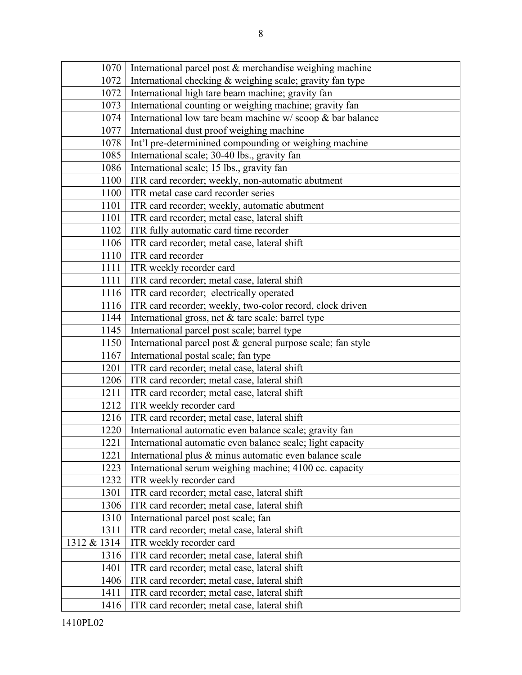| 1070        | International parcel post & merchandise weighing machine        |
|-------------|-----------------------------------------------------------------|
| 1072        | International checking & weighing scale; gravity fan type       |
| 1072        | International high tare beam machine; gravity fan               |
| 1073        | International counting or weighing machine; gravity fan         |
| 1074        | International low tare beam machine $w/$ scoop $\&$ bar balance |
| 1077        | International dust proof weighing machine                       |
| 1078        | Int'l pre-determinined compounding or weighing machine          |
| 1085        | International scale; 30-40 lbs., gravity fan                    |
| 1086        | International scale; 15 lbs., gravity fan                       |
| 1100        | ITR card recorder; weekly, non-automatic abutment               |
| 1100        | ITR metal case card recorder series                             |
| 1101        | ITR card recorder; weekly, automatic abutment                   |
| 1101        | ITR card recorder; metal case, lateral shift                    |
| 1102        | ITR fully automatic card time recorder                          |
| 1106        | ITR card recorder; metal case, lateral shift                    |
| 1110        | ITR card recorder                                               |
| 1111        | ITR weekly recorder card                                        |
| 1111        | ITR card recorder; metal case, lateral shift                    |
| 1116        | ITR card recorder; electrically operated                        |
| 1116        | ITR card recorder; weekly, two-color record, clock driven       |
| 1144        | International gross, net & tare scale; barrel type              |
| 1145        | International parcel post scale; barrel type                    |
| 1150        | International parcel post & general purpose scale; fan style    |
| 1167        | International postal scale; fan type                            |
| 1201        | ITR card recorder; metal case, lateral shift                    |
| 1206        | ITR card recorder; metal case, lateral shift                    |
| 1211        | ITR card recorder; metal case, lateral shift                    |
| 1212        | ITR weekly recorder card                                        |
| 1216        | ITR card recorder; metal case, lateral shift                    |
| 1220        | International automatic even balance scale; gravity fan         |
| 1221        | International automatic even balance scale; light capacity      |
| 1221        | International plus & minus automatic even balance scale         |
| 1223        | International serum weighing machine; 4100 cc. capacity         |
| 1232        | ITR weekly recorder card                                        |
| 1301        | ITR card recorder; metal case, lateral shift                    |
| 1306        | ITR card recorder; metal case, lateral shift                    |
| 1310        | International parcel post scale; fan                            |
| 1311        | ITR card recorder; metal case, lateral shift                    |
| 1312 & 1314 | ITR weekly recorder card                                        |
| 1316        | ITR card recorder; metal case, lateral shift                    |
| 1401        | ITR card recorder; metal case, lateral shift                    |
| 1406        | ITR card recorder; metal case, lateral shift                    |
| 1411        | ITR card recorder; metal case, lateral shift                    |
| 1416        | ITR card recorder; metal case, lateral shift                    |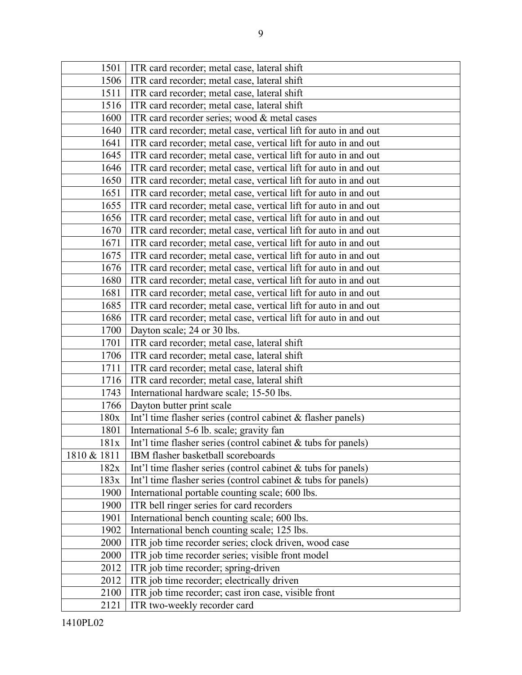| 1501        | ITR card recorder; metal case, lateral shift                     |
|-------------|------------------------------------------------------------------|
| 1506        | ITR card recorder; metal case, lateral shift                     |
| 1511        | ITR card recorder; metal case, lateral shift                     |
| 1516        | ITR card recorder; metal case, lateral shift                     |
| 1600        | ITR card recorder series; wood & metal cases                     |
| 1640        | ITR card recorder; metal case, vertical lift for auto in and out |
| 1641        | ITR card recorder; metal case, vertical lift for auto in and out |
| 1645        | ITR card recorder; metal case, vertical lift for auto in and out |
| 1646        | ITR card recorder; metal case, vertical lift for auto in and out |
| 1650        | ITR card recorder; metal case, vertical lift for auto in and out |
| 1651        | ITR card recorder; metal case, vertical lift for auto in and out |
| 1655        | ITR card recorder; metal case, vertical lift for auto in and out |
| 1656        | ITR card recorder; metal case, vertical lift for auto in and out |
| 1670        | ITR card recorder; metal case, vertical lift for auto in and out |
| 1671        | ITR card recorder; metal case, vertical lift for auto in and out |
| 1675        | ITR card recorder; metal case, vertical lift for auto in and out |
| 1676        | ITR card recorder; metal case, vertical lift for auto in and out |
| 1680        | ITR card recorder; metal case, vertical lift for auto in and out |
| 1681        | ITR card recorder; metal case, vertical lift for auto in and out |
| 1685        | ITR card recorder; metal case, vertical lift for auto in and out |
| 1686        | ITR card recorder; metal case, vertical lift for auto in and out |
| 1700        | Dayton scale; 24 or 30 lbs.                                      |
| 1701        | ITR card recorder; metal case, lateral shift                     |
| 1706        | ITR card recorder; metal case, lateral shift                     |
| 1711        | ITR card recorder; metal case, lateral shift                     |
| 1716        | ITR card recorder; metal case, lateral shift                     |
| 1743        | International hardware scale; 15-50 lbs.                         |
| 1766        | Dayton butter print scale                                        |
| 180x        | Int'l time flasher series (control cabinet $&$ flasher panels)   |
| 1801        | International 5-6 lb. scale; gravity fan                         |
| 181x        | Int'l time flasher series (control cabinet $\&$ tubs for panels) |
| 1810 & 1811 | IBM flasher basketball scoreboards                               |
| 182x        | Int'l time flasher series (control cabinet $&$ tubs for panels)  |
| 183x        | Int'l time flasher series (control cabinet $&$ tubs for panels)  |
| 1900        | International portable counting scale; 600 lbs.                  |
| 1900        | ITR bell ringer series for card recorders                        |
| 1901        | International bench counting scale; 600 lbs.                     |
| 1902        | International bench counting scale; 125 lbs.                     |
| 2000        | ITR job time recorder series; clock driven, wood case            |
| 2000        | ITR job time recorder series; visible front model                |
| 2012        | ITR job time recorder; spring-driven                             |
| 2012        | ITR job time recorder; electrically driven                       |
| 2100        | ITR job time recorder; cast iron case, visible front             |
| 2121        | ITR two-weekly recorder card                                     |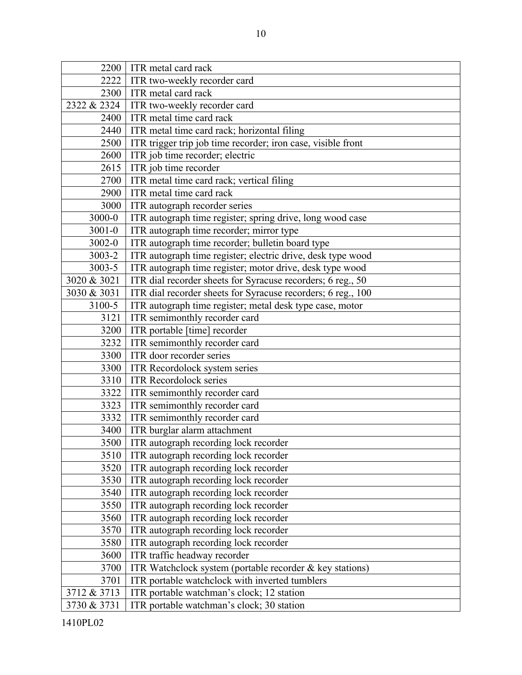| 2200        | ITR metal card rack                                          |
|-------------|--------------------------------------------------------------|
| 2222        | ITR two-weekly recorder card                                 |
| 2300        | ITR metal card rack                                          |
| 2322 & 2324 | ITR two-weekly recorder card                                 |
| 2400        | ITR metal time card rack                                     |
| 2440        | ITR metal time card rack; horizontal filing                  |
| 2500        | ITR trigger trip job time recorder; iron case, visible front |
| 2600        | ITR job time recorder; electric                              |
| 2615        | ITR job time recorder                                        |
| 2700        | ITR metal time card rack; vertical filing                    |
| 2900        | ITR metal time card rack                                     |
| 3000        | ITR autograph recorder series                                |
| 3000-0      | ITR autograph time register; spring drive, long wood case    |
| $3001 - 0$  | ITR autograph time recorder; mirror type                     |
| 3002-0      | ITR autograph time recorder; bulletin board type             |
| 3003-2      | ITR autograph time register; electric drive, desk type wood  |
| 3003-5      | ITR autograph time register; motor drive, desk type wood     |
| 3020 & 3021 | ITR dial recorder sheets for Syracuse recorders; 6 reg., 50  |
| 3030 & 3031 | ITR dial recorder sheets for Syracuse recorders; 6 reg., 100 |
| 3100-5      | ITR autograph time register; metal desk type case, motor     |
| 3121        | ITR semimonthly recorder card                                |
| 3200        | ITR portable [time] recorder                                 |
| 3232        | ITR semimonthly recorder card                                |
| 3300        | ITR door recorder series                                     |
| 3300        | ITR Recordolock system series                                |
| 3310        | <b>ITR Recordolock series</b>                                |
| 3322        | ITR semimonthly recorder card                                |
| 3323        | ITR semimonthly recorder card                                |
| 3332        | ITR semimonthly recorder card                                |
| 3400        | ITR burglar alarm attachment                                 |
| 3500        | ITR autograph recording lock recorder                        |
| 3510        | ITR autograph recording lock recorder                        |
| 3520        | ITR autograph recording lock recorder                        |
| 3530        | ITR autograph recording lock recorder                        |
| 3540        | ITR autograph recording lock recorder                        |
| 3550        | ITR autograph recording lock recorder                        |
| 3560        | ITR autograph recording lock recorder                        |
| 3570        | ITR autograph recording lock recorder                        |
| 3580        | ITR autograph recording lock recorder                        |
| 3600        | ITR traffic headway recorder                                 |
| 3700        | ITR Watchclock system (portable recorder & key stations)     |
| 3701        | ITR portable watchclock with inverted tumblers               |
| 3712 & 3713 | ITR portable watchman's clock; 12 station                    |
| 3730 & 3731 | ITR portable watchman's clock; 30 station                    |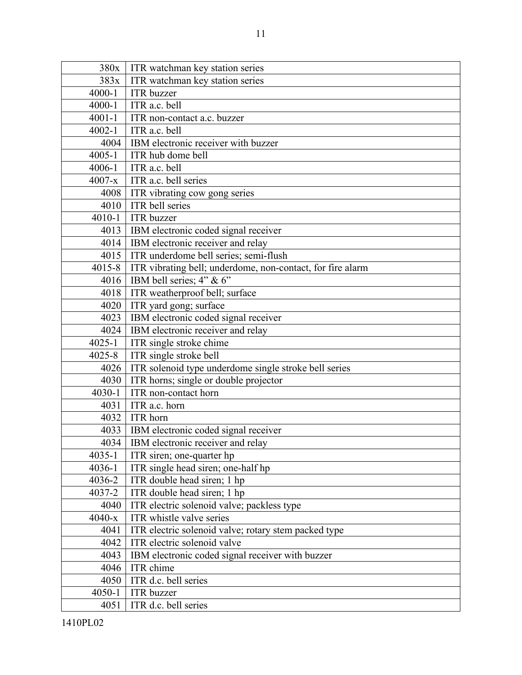| 380x       | ITR watchman key station series                            |
|------------|------------------------------------------------------------|
| 383x       | ITR watchman key station series                            |
| 4000-1     | <b>ITR</b> buzzer                                          |
| $4000 - 1$ | ITR a.c. bell                                              |
| $4001 - 1$ | ITR non-contact a.c. buzzer                                |
| $4002 - 1$ | ITR a.c. bell                                              |
| 4004       | IBM electronic receiver with buzzer                        |
| $4005 - 1$ | ITR hub dome bell                                          |
| 4006-1     | ITR a.c. bell                                              |
| $4007 - x$ | ITR a.c. bell series                                       |
| 4008       | ITR vibrating cow gong series                              |
| 4010       | ITR bell series                                            |
| $4010 - 1$ | <b>ITR</b> buzzer                                          |
| 4013       | IBM electronic coded signal receiver                       |
| 4014       | IBM electronic receiver and relay                          |
| 4015       | ITR underdome bell series; semi-flush                      |
| $4015 - 8$ | ITR vibrating bell; underdome, non-contact, for fire alarm |
| 4016       | IBM bell series; 4" & 6"                                   |
| 4018       | ITR weatherproof bell; surface                             |
| 4020       | ITR yard gong; surface                                     |
| 4023       | IBM electronic coded signal receiver                       |
| 4024       | IBM electronic receiver and relay                          |
| $4025 - 1$ | ITR single stroke chime                                    |
| $4025 - 8$ | ITR single stroke bell                                     |
| 4026       | ITR solenoid type underdome single stroke bell series      |
| 4030       | ITR horns; single or double projector                      |
| $4030 - 1$ | ITR non-contact horn                                       |
| 4031       | ITR a.c. horn                                              |
| 4032       | ITR horn                                                   |
| 4033       | IBM electronic coded signal receiver                       |
| 4034       | IBM electronic receiver and relay                          |
| $4035 - 1$ | ITR siren; one-quarter hp                                  |
| 4036-1     | ITR single head siren; one-half hp                         |
| 4036-2     | ITR double head siren; 1 hp                                |
| 4037-2     | ITR double head siren; 1 hp                                |
| 4040       | ITR electric solenoid valve; packless type                 |
| $4040 - x$ | ITR whistle valve series                                   |
| 4041       | ITR electric solenoid valve; rotary stem packed type       |
| 4042       | ITR electric solenoid valve                                |
| 4043       | IBM electronic coded signal receiver with buzzer           |
| 4046       | ITR chime                                                  |
| 4050       | ITR d.c. bell series                                       |
| $4050 - 1$ | <b>ITR</b> buzzer                                          |
| 4051       | ITR d.c. bell series                                       |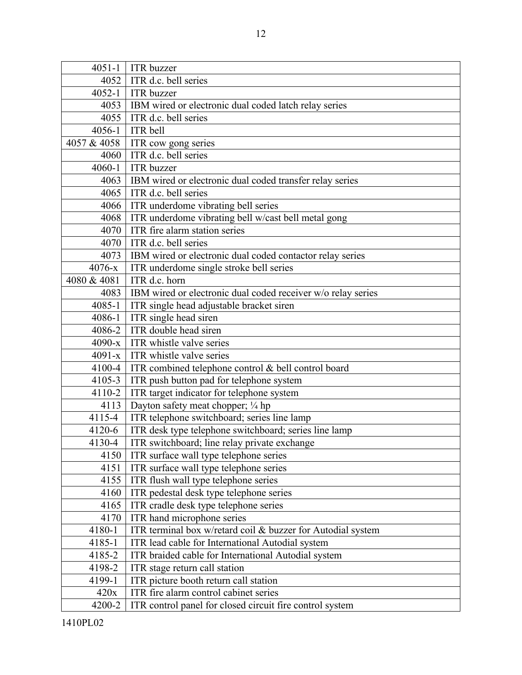| $4051 - 1$  | <b>ITR</b> buzzer                                            |
|-------------|--------------------------------------------------------------|
| 4052        | ITR d.c. bell series                                         |
| $4052 - 1$  | <b>ITR</b> buzzer                                            |
| 4053        | IBM wired or electronic dual coded latch relay series        |
| 4055        | ITR d.c. bell series                                         |
| $4056 - 1$  | ITR bell                                                     |
| 4057 & 4058 | ITR cow gong series                                          |
| 4060        | ITR d.c. bell series                                         |
| 4060-1      | <b>ITR</b> buzzer                                            |
| 4063        | IBM wired or electronic dual coded transfer relay series     |
| 4065        | ITR d.c. bell series                                         |
| 4066        | ITR underdome vibrating bell series                          |
| 4068        | ITR underdome vibrating bell w/cast bell metal gong          |
| 4070        | ITR fire alarm station series                                |
| 4070        | ITR d.c. bell series                                         |
| 4073        | IBM wired or electronic dual coded contactor relay series    |
| $4076 - x$  | ITR underdome single stroke bell series                      |
| 4080 & 4081 | ITR d.c. horn                                                |
| 4083        | IBM wired or electronic dual coded receiver w/o relay series |
| $4085 - 1$  | ITR single head adjustable bracket siren                     |
| 4086-1      | ITR single head siren                                        |
| 4086-2      | ITR double head siren                                        |
| $4090-x$    | ITR whistle valve series                                     |
| $4091 - x$  | ITR whistle valve series                                     |
| 4100-4      | ITR combined telephone control & bell control board          |
| 4105-3      | ITR push button pad for telephone system                     |
| 4110-2      | ITR target indicator for telephone system                    |
| 4113        | Dayton safety meat chopper; 1/4 hp                           |
| 4115-4      | ITR telephone switchboard; series line lamp                  |
| 4120-6      | ITR desk type telephone switchboard; series line lamp        |
| 4130-4      | ITR switchboard; line relay private exchange                 |
| 4150        | ITR surface wall type telephone series                       |
| 4151        | ITR surface wall type telephone series                       |
| 4155        | ITR flush wall type telephone series                         |
| 4160        | ITR pedestal desk type telephone series                      |
| 4165        | ITR cradle desk type telephone series                        |
| 4170        | ITR hand microphone series                                   |
| 4180-1      | ITR terminal box w/retard coil & buzzer for Autodial system  |
| 4185-1      | ITR lead cable for International Autodial system             |
| 4185-2      | ITR braided cable for International Autodial system          |
| 4198-2      | ITR stage return call station                                |
| 4199-1      | ITR picture booth return call station                        |
| 420x        | ITR fire alarm control cabinet series                        |
| 4200-2      | ITR control panel for closed circuit fire control system     |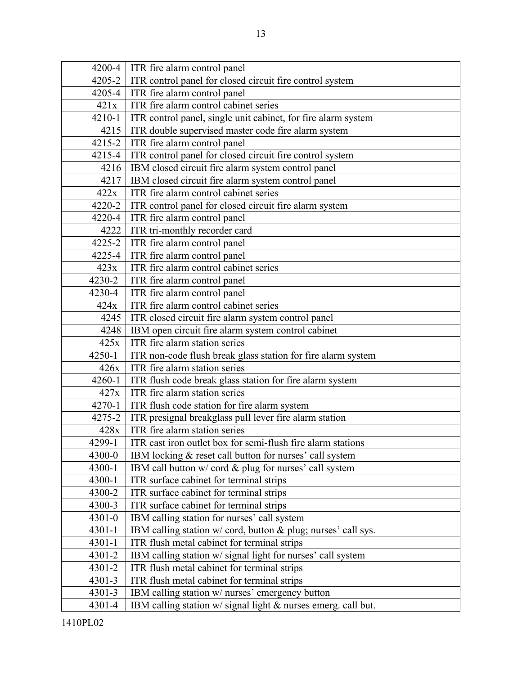|            | 4200-4   ITR fire alarm control panel                         |
|------------|---------------------------------------------------------------|
| 4205-2     | ITR control panel for closed circuit fire control system      |
| 4205-4     | ITR fire alarm control panel                                  |
| 421x       | ITR fire alarm control cabinet series                         |
| $4210 - 1$ | ITR control panel, single unit cabinet, for fire alarm system |
| 4215       | ITR double supervised master code fire alarm system           |
| 4215-2     | ITR fire alarm control panel                                  |
| 4215-4     | ITR control panel for closed circuit fire control system      |
| 4216       | IBM closed circuit fire alarm system control panel            |
| 4217       | IBM closed circuit fire alarm system control panel            |
| 422x       | ITR fire alarm control cabinet series                         |
| 4220-2     | ITR control panel for closed circuit fire alarm system        |
| 4220-4     | ITR fire alarm control panel                                  |
| 4222       | ITR tri-monthly recorder card                                 |
| $4225 - 2$ | ITR fire alarm control panel                                  |
| 4225-4     | ITR fire alarm control panel                                  |
| 423x       | ITR fire alarm control cabinet series                         |
| 4230-2     | ITR fire alarm control panel                                  |
| 4230-4     | ITR fire alarm control panel                                  |
| 424x       | ITR fire alarm control cabinet series                         |
| 4245       | ITR closed circuit fire alarm system control panel            |
| 4248       | IBM open circuit fire alarm system control cabinet            |
| 425x       | ITR fire alarm station series                                 |
| 4250-1     | ITR non-code flush break glass station for fire alarm system  |
| 426x       | ITR fire alarm station series                                 |
| 4260-1     | ITR flush code break glass station for fire alarm system      |
| 427x       | ITR fire alarm station series                                 |
| 4270-1     | ITR flush code station for fire alarm system                  |
| 4275-2     | ITR presignal breakglass pull lever fire alarm station        |
| 428x       | ITR fire alarm station series                                 |
| 4299-1     | ITR cast iron outlet box for semi-flush fire alarm stations   |
| 4300-0     | IBM locking & reset call button for nurses' call system       |
| 4300-1     | IBM call button w/ cord & plug for nurses' call system        |
| 4300-1     | ITR surface cabinet for terminal strips                       |
| 4300-2     | ITR surface cabinet for terminal strips                       |
| 4300-3     | ITR surface cabinet for terminal strips                       |
| $4301 - 0$ | IBM calling station for nurses' call system                   |
| $4301 - 1$ | IBM calling station w/ cord, button & plug; nurses' call sys. |
| $4301 - 1$ | ITR flush metal cabinet for terminal strips                   |
| 4301-2     | IBM calling station w/ signal light for nurses' call system   |
| 4301-2     | ITR flush metal cabinet for terminal strips                   |
| $4301 - 3$ | ITR flush metal cabinet for terminal strips                   |
| 4301-3     | IBM calling station w/ nurses' emergency button               |
| 4301-4     | IBM calling station w/ signal light & nurses emerg. call but. |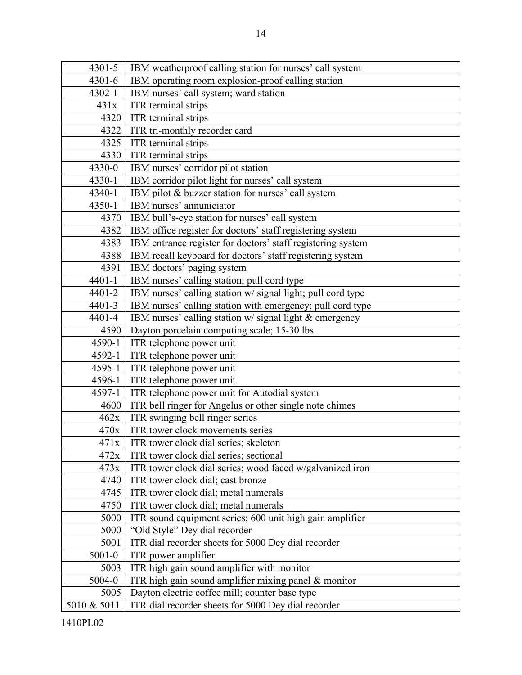| 4301-5              | IBM weatherproof calling station for nurses' call system                                              |
|---------------------|-------------------------------------------------------------------------------------------------------|
| 4301-6              | IBM operating room explosion-proof calling station                                                    |
| $4302 - 1$          | IBM nurses' call system; ward station                                                                 |
| 431x                | ITR terminal strips                                                                                   |
| 4320                | ITR terminal strips                                                                                   |
| 4322                | ITR tri-monthly recorder card                                                                         |
| 4325                | ITR terminal strips                                                                                   |
| 4330                | ITR terminal strips                                                                                   |
| 4330-0              | IBM nurses' corridor pilot station                                                                    |
| 4330-1              | IBM corridor pilot light for nurses' call system                                                      |
| 4340-1              | IBM pilot & buzzer station for nurses' call system                                                    |
| 4350-1              | IBM nurses' annuniciator                                                                              |
| 4370                | IBM bull's-eye station for nurses' call system                                                        |
| 4382                | IBM office register for doctors' staff registering system                                             |
| 4383                | IBM entrance register for doctors' staff registering system                                           |
| 4388                | IBM recall keyboard for doctors' staff registering system                                             |
| 4391                | IBM doctors' paging system                                                                            |
| $4401 - 1$          | IBM nurses' calling station; pull cord type                                                           |
| 4401-2              | IBM nurses' calling station w/ signal light; pull cord type                                           |
| $4401 - 3$          | IBM nurses' calling station with emergency; pull cord type                                            |
| 4401-4              | IBM nurses' calling station w/ signal light & emergency                                               |
| 4590                | Dayton porcelain computing scale; 15-30 lbs.                                                          |
| 4590-1              | ITR telephone power unit                                                                              |
| 4592-1              | ITR telephone power unit                                                                              |
| 4595-1              | ITR telephone power unit                                                                              |
| 4596-1              | ITR telephone power unit                                                                              |
| 4597-1              | ITR telephone power unit for Autodial system                                                          |
| 4600                | ITR bell ringer for Angelus or other single note chimes                                               |
| 462x                | ITR swinging bell ringer series                                                                       |
| 470x                | ITR tower clock movements series                                                                      |
| 471x                | ITR tower clock dial series; skeleton                                                                 |
| 472x                | ITR tower clock dial series; sectional                                                                |
| 473x                | ITR tower clock dial series; wood faced w/galvanized iron                                             |
| 4740                | ITR tower clock dial; cast bronze                                                                     |
| 4745                | ITR tower clock dial; metal numerals                                                                  |
| 4750                | ITR tower clock dial; metal numerals                                                                  |
| 5000                | ITR sound equipment series; 600 unit high gain amplifier                                              |
| 5000                | "Old Style" Dey dial recorder                                                                         |
| 5001                |                                                                                                       |
| $5001 - 0$          | ITR dial recorder sheets for 5000 Dey dial recorder                                                   |
|                     | ITR power amplifier                                                                                   |
| 5003                | ITR high gain sound amplifier with monitor                                                            |
| 5004-0              | ITR high gain sound amplifier mixing panel & monitor                                                  |
| 5005<br>5010 & 5011 | Dayton electric coffee mill; counter base type<br>ITR dial recorder sheets for 5000 Dey dial recorder |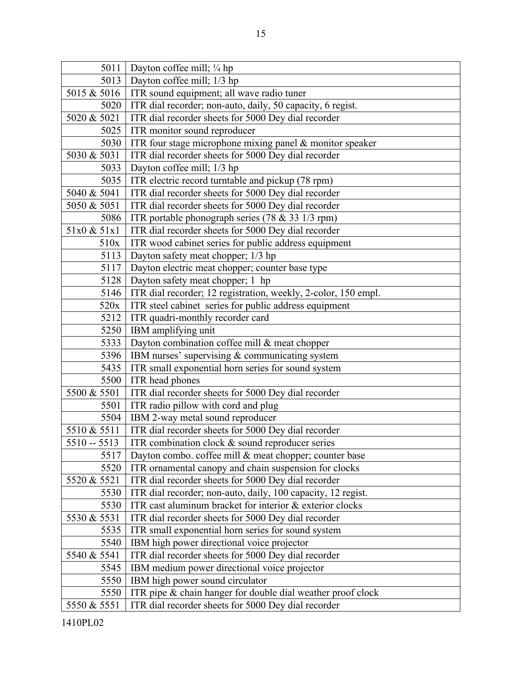| 5011          | Dayton coffee mill; 1/4 hp                                     |
|---------------|----------------------------------------------------------------|
| 5013          | Dayton coffee mill; 1/3 hp                                     |
| 5015 & 5016   | ITR sound equipment; all wave radio tuner                      |
| 5020          | ITR dial recorder; non-auto, daily, 50 capacity, 6 regist.     |
| 5020 & 5021   | ITR dial recorder sheets for 5000 Dey dial recorder            |
| 5025          | ITR monitor sound reproducer                                   |
| 5030          | ITR four stage microphone mixing panel $&$ monitor speaker     |
| 5030 & 5031   | ITR dial recorder sheets for 5000 Dey dial recorder            |
| 5033          | Dayton coffee mill; 1/3 hp                                     |
| 5035          | ITR electric record turntable and pickup (78 rpm)              |
| 5040 & 5041   | ITR dial recorder sheets for 5000 Dey dial recorder            |
| 5050 & 5051   | ITR dial recorder sheets for 5000 Dey dial recorder            |
| 5086          | ITR portable phonograph series (78 & 33 1/3 rpm)               |
| 51x0 & 51x1   | ITR dial recorder sheets for 5000 Dey dial recorder            |
| 510x          | ITR wood cabinet series for public address equipment           |
| 5113          | Dayton safety meat chopper; 1/3 hp                             |
| 5117          | Dayton electric meat chopper; counter base type                |
| 5128          | Dayton safety meat chopper; 1 hp                               |
| 5146          | ITR dial recorder; 12 registration, weekly, 2-color, 150 empl. |
| 520x          | ITR steel cabinet series for public address equipment          |
| 5212          | ITR quadri-monthly recorder card                               |
| 5250          | IBM amplifying unit                                            |
| 5333          | Dayton combination coffee mill & meat chopper                  |
| 5396          | IBM nurses' supervising $&$ communicating system               |
| 5435          | ITR small exponential horn series for sound system             |
| 5500          | ITR head phones                                                |
| 5500 & 5501   | ITR dial recorder sheets for 5000 Dey dial recorder            |
| 5501          | ITR radio pillow with cord and plug                            |
| 5504          | IBM 2-way metal sound reproducer                               |
| 5510 & 5511   | ITR dial recorder sheets for 5000 Dey dial recorder            |
| $5510 - 5513$ | ITR combination clock & sound reproducer series                |
| 5517          | Dayton combo. coffee mill & meat chopper; counter base         |
| 5520          | ITR ornamental canopy and chain suspension for clocks          |
| 5520 & 5521   | ITR dial recorder sheets for 5000 Dey dial recorder            |
| 5530          | ITR dial recorder; non-auto, daily, 100 capacity, 12 regist.   |
| 5530          | ITR cast aluminum bracket for interior & exterior clocks       |
| 5530 & 5531   | ITR dial recorder sheets for 5000 Dey dial recorder            |
| 5535          | ITR small exponential horn series for sound system             |
| 5540          | IBM high power directional voice projector                     |
| 5540 & 5541   | ITR dial recorder sheets for 5000 Dey dial recorder            |
| 5545          | IBM medium power directional voice projector                   |
| 5550          | IBM high power sound circulator                                |
| 5550          | ITR pipe $&$ chain hanger for double dial weather proof clock  |
| 5550 & 5551   | ITR dial recorder sheets for 5000 Dey dial recorder            |

1410PL02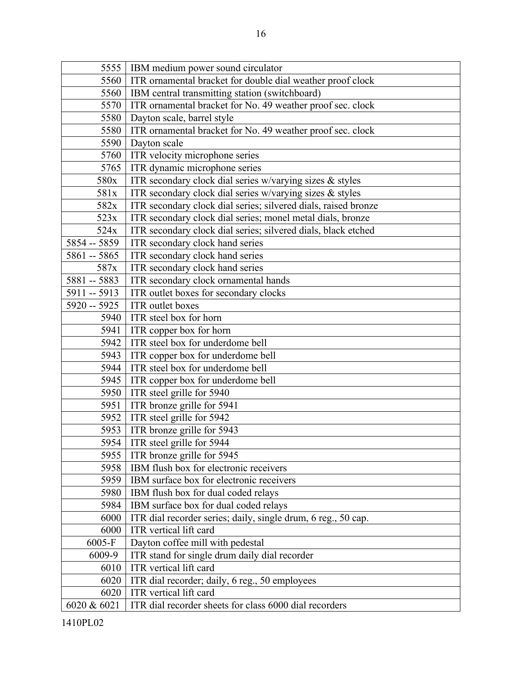| 5555          | IBM medium power sound circulator                              |
|---------------|----------------------------------------------------------------|
| 5560          | ITR ornamental bracket for double dial weather proof clock     |
| 5560          | IBM central transmitting station (switchboard)                 |
| 5570          | ITR ornamental bracket for No. 49 weather proof sec. clock     |
| 5580          | Dayton scale, barrel style                                     |
| 5580          | ITR ornamental bracket for No. 49 weather proof sec. clock     |
| 5590          | Dayton scale                                                   |
| 5760          | ITR velocity microphone series                                 |
| 5765          | ITR dynamic microphone series                                  |
| 580x          | ITR secondary clock dial series w/varying sizes $\&$ styles    |
| 581x          | ITR secondary clock dial series w/varying sizes & styles       |
| 582x          | ITR secondary clock dial series; silvered dials, raised bronze |
| 523x          | ITR secondary clock dial series; monel metal dials, bronze     |
| 524x          | ITR secondary clock dial series; silvered dials, black etched  |
| 5854 -- 5859  | ITR secondary clock hand series                                |
| 5861 -- 5865  | ITR secondary clock hand series                                |
| 587x          | ITR secondary clock hand series                                |
| 5881 -- 5883  | ITR secondary clock ornamental hands                           |
| 5911 -- 5913  | ITR outlet boxes for secondary clocks                          |
| $5920 - 5925$ | ITR outlet boxes                                               |
| 5940          | ITR steel box for horn                                         |
| 5941          | ITR copper box for horn                                        |
| 5942          | ITR steel box for underdome bell                               |
| 5943          | ITR copper box for underdome bell                              |
| 5944          | ITR steel box for underdome bell                               |
| 5945          | ITR copper box for underdome bell                              |
| 5950          | ITR steel grille for 5940                                      |
| 5951          | ITR bronze grille for 5941                                     |
| 5952          | ITR steel grille for 5942                                      |
| 5953          | ITR bronze grille for 5943                                     |
| 5954          | ITR steel grille for 5944                                      |
| 5955          | ITR bronze grille for 5945                                     |
| 5958          | IBM flush box for electronic receivers                         |
| 5959          | IBM surface box for electronic receivers                       |
| 5980          | IBM flush box for dual coded relays                            |
| 5984          | IBM surface box for dual coded relays                          |
| 6000          | ITR dial recorder series; daily, single drum, 6 reg., 50 cap.  |
| 6000          | ITR vertical lift card                                         |
| 6005-F        | Dayton coffee mill with pedestal                               |
| 6009-9        | ITR stand for single drum daily dial recorder                  |
| 6010          | ITR vertical lift card                                         |
| 6020          | ITR dial recorder; daily, 6 reg., 50 employees                 |
| 6020          | ITR vertical lift card                                         |
| 6020 & 6021   | ITR dial recorder sheets for class 6000 dial recorders         |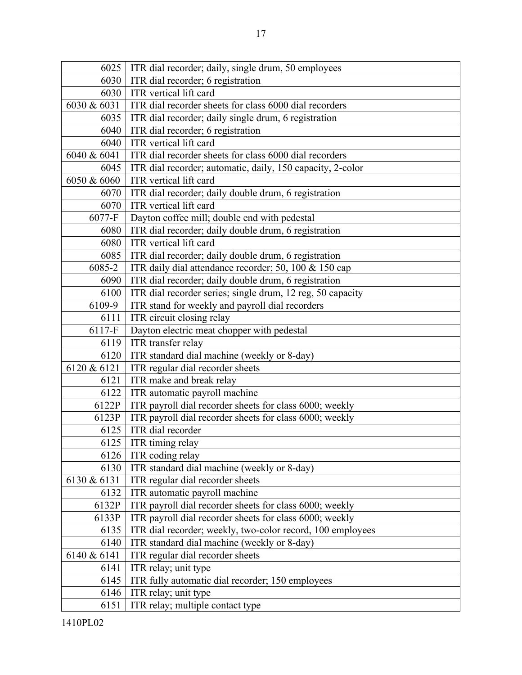| 6025        | ITR dial recorder; daily, single drum, 50 employees        |
|-------------|------------------------------------------------------------|
| 6030        | ITR dial recorder; 6 registration                          |
| 6030        | ITR vertical lift card                                     |
| 6030 & 6031 | ITR dial recorder sheets for class 6000 dial recorders     |
| 6035        | ITR dial recorder; daily single drum, 6 registration       |
| 6040        | ITR dial recorder; 6 registration                          |
| 6040        | ITR vertical lift card                                     |
| 6040 & 6041 | ITR dial recorder sheets for class 6000 dial recorders     |
| 6045        | ITR dial recorder; automatic, daily, 150 capacity, 2-color |
| 6050 & 6060 | ITR vertical lift card                                     |
| 6070        | ITR dial recorder; daily double drum, 6 registration       |
| 6070        | ITR vertical lift card                                     |
| 6077-F      | Dayton coffee mill; double end with pedestal               |
| 6080        | ITR dial recorder; daily double drum, 6 registration       |
| 6080        | ITR vertical lift card                                     |
| 6085        | ITR dial recorder; daily double drum, 6 registration       |
| 6085-2      | ITR daily dial attendance recorder; 50, 100 & 150 cap      |
| 6090        | ITR dial recorder; daily double drum, 6 registration       |
| 6100        | ITR dial recorder series; single drum, 12 reg, 50 capacity |
| 6109-9      | ITR stand for weekly and payroll dial recorders            |
| 6111        | ITR circuit closing relay                                  |
| $6117 - F$  | Dayton electric meat chopper with pedestal                 |
| 6119        | ITR transfer relay                                         |
| 6120        | ITR standard dial machine (weekly or 8-day)                |
| 6120 & 6121 | ITR regular dial recorder sheets                           |
| 6121        | ITR make and break relay                                   |
| 6122        | ITR automatic payroll machine                              |
| 6122P       | ITR payroll dial recorder sheets for class 6000; weekly    |
| 6123P       | ITR payroll dial recorder sheets for class 6000; weekly    |
| 6125        | ITR dial recorder                                          |
| 6125        | ITR timing relay                                           |
| 6126        | ITR coding relay                                           |
| 6130        | ITR standard dial machine (weekly or 8-day)                |
| 6130 & 6131 | ITR regular dial recorder sheets                           |
| 6132        | ITR automatic payroll machine                              |
| 6132P       | ITR payroll dial recorder sheets for class 6000; weekly    |
| 6133P       | ITR payroll dial recorder sheets for class 6000; weekly    |
| 6135        | ITR dial recorder; weekly, two-color record, 100 employees |
| 6140        | ITR standard dial machine (weekly or 8-day)                |
| 6140 & 6141 | ITR regular dial recorder sheets                           |
| 6141        | ITR relay; unit type                                       |
| 6145        | ITR fully automatic dial recorder; 150 employees           |
| 6146        | ITR relay; unit type                                       |
| 6151        | ITR relay; multiple contact type                           |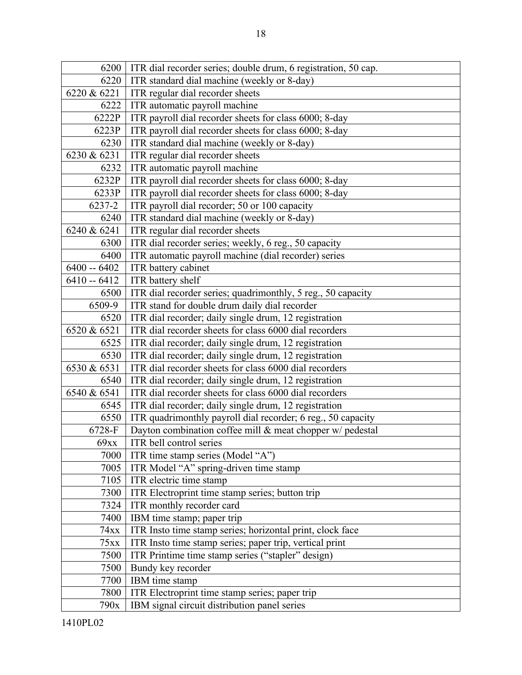| 6200          | ITR dial recorder series; double drum, 6 registration, 50 cap. |
|---------------|----------------------------------------------------------------|
| 6220          | ITR standard dial machine (weekly or 8-day)                    |
| 6220 & 6221   | ITR regular dial recorder sheets                               |
| 6222          | ITR automatic payroll machine                                  |
| 6222P         | ITR payroll dial recorder sheets for class 6000; 8-day         |
| 6223P         | ITR payroll dial recorder sheets for class 6000; 8-day         |
| 6230          | ITR standard dial machine (weekly or 8-day)                    |
| 6230 & 6231   | ITR regular dial recorder sheets                               |
| 6232          | ITR automatic payroll machine                                  |
| 6232P         | ITR payroll dial recorder sheets for class 6000; 8-day         |
| 6233P         | ITR payroll dial recorder sheets for class 6000; 8-day         |
| 6237-2        | ITR payroll dial recorder; 50 or 100 capacity                  |
| 6240          | ITR standard dial machine (weekly or 8-day)                    |
| 6240 & 6241   | ITR regular dial recorder sheets                               |
| 6300          | ITR dial recorder series; weekly, 6 reg., 50 capacity          |
| 6400          | ITR automatic payroll machine (dial recorder) series           |
| $6400 - 6402$ | ITR battery cabinet                                            |
| $6410 - 6412$ | ITR battery shelf                                              |
| 6500          | ITR dial recorder series; quadrimonthly, 5 reg., 50 capacity   |
| 6509-9        | ITR stand for double drum daily dial recorder                  |
| 6520          | ITR dial recorder; daily single drum, 12 registration          |
| 6520 & 6521   | ITR dial recorder sheets for class 6000 dial recorders         |
| 6525          | ITR dial recorder; daily single drum, 12 registration          |
| 6530          | ITR dial recorder; daily single drum, 12 registration          |
| 6530 & 6531   | ITR dial recorder sheets for class 6000 dial recorders         |
| 6540          | ITR dial recorder; daily single drum, 12 registration          |
| 6540 & 6541   | ITR dial recorder sheets for class 6000 dial recorders         |
| 6545          | ITR dial recorder; daily single drum, 12 registration          |
| 6550          | ITR quadrimonthly payroll dial recorder; 6 reg., 50 capacity   |
| 6728-F        | Dayton combination coffee mill & meat chopper w/ pedestal      |
| 69xx          | ITR bell control series                                        |
| 7000          | ITR time stamp series (Model "A")                              |
| 7005          | ITR Model "A" spring-driven time stamp                         |
| 7105          | ITR electric time stamp                                        |
| 7300          | ITR Electroprint time stamp series; button trip                |
| 7324          | ITR monthly recorder card                                      |
| 7400          | IBM time stamp; paper trip                                     |
| 74xx          | ITR Insto time stamp series; horizontal print, clock face      |
| 75xx          | ITR Insto time stamp series; paper trip, vertical print        |
| 7500          | ITR Printime time stamp series ("stapler" design)              |
| 7500          | Bundy key recorder                                             |
| 7700          | IBM time stamp                                                 |
| 7800          | ITR Electroprint time stamp series; paper trip                 |
| 790x          | IBM signal circuit distribution panel series                   |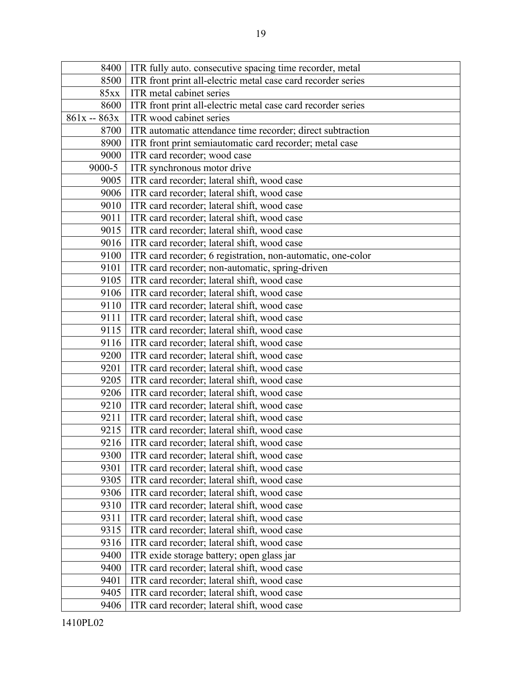| 8400          | ITR fully auto. consecutive spacing time recorder, metal     |
|---------------|--------------------------------------------------------------|
| 8500          | ITR front print all-electric metal case card recorder series |
| 85xx          | ITR metal cabinet series                                     |
| 8600          | ITR front print all-electric metal case card recorder series |
| $861x - 863x$ | ITR wood cabinet series                                      |
| 8700          | ITR automatic attendance time recorder; direct subtraction   |
| 8900          | ITR front print semiautomatic card recorder; metal case      |
| 9000          | ITR card recorder; wood case                                 |
| 9000-5        | ITR synchronous motor drive                                  |
| 9005          | ITR card recorder; lateral shift, wood case                  |
| 9006          | ITR card recorder; lateral shift, wood case                  |
| 9010          | ITR card recorder; lateral shift, wood case                  |
| 9011          | ITR card recorder; lateral shift, wood case                  |
| 9015          | ITR card recorder; lateral shift, wood case                  |
| 9016          | ITR card recorder; lateral shift, wood case                  |
| 9100          | ITR card recorder; 6 registration, non-automatic, one-color  |
| 9101          | ITR card recorder; non-automatic, spring-driven              |
| 9105          | ITR card recorder; lateral shift, wood case                  |
| 9106          | ITR card recorder; lateral shift, wood case                  |
| 9110          | ITR card recorder; lateral shift, wood case                  |
| 9111          | ITR card recorder; lateral shift, wood case                  |
| 9115          | ITR card recorder; lateral shift, wood case                  |
| 9116          | ITR card recorder; lateral shift, wood case                  |
| 9200          | ITR card recorder; lateral shift, wood case                  |
| 9201          | ITR card recorder; lateral shift, wood case                  |
| 9205          | ITR card recorder; lateral shift, wood case                  |
| 9206          | ITR card recorder; lateral shift, wood case                  |
| 9210          | ITR card recorder; lateral shift, wood case                  |
| 9211          | ITR card recorder; lateral shift, wood case                  |
| 9215          | ITR card recorder; lateral shift, wood case                  |
| 9216          | ITR card recorder; lateral shift, wood case                  |
| 9300          | ITR card recorder; lateral shift, wood case                  |
| 9301          | ITR card recorder; lateral shift, wood case                  |
| 9305          | ITR card recorder; lateral shift, wood case                  |
| 9306          | ITR card recorder; lateral shift, wood case                  |
| 9310          | ITR card recorder; lateral shift, wood case                  |
| 9311          | ITR card recorder; lateral shift, wood case                  |
| 9315          | ITR card recorder; lateral shift, wood case                  |
| 9316          | ITR card recorder; lateral shift, wood case                  |
| 9400          | ITR exide storage battery; open glass jar                    |
| 9400          | ITR card recorder; lateral shift, wood case                  |
| 9401          | ITR card recorder; lateral shift, wood case                  |
| 9405          | ITR card recorder; lateral shift, wood case                  |
| 9406          | ITR card recorder; lateral shift, wood case                  |